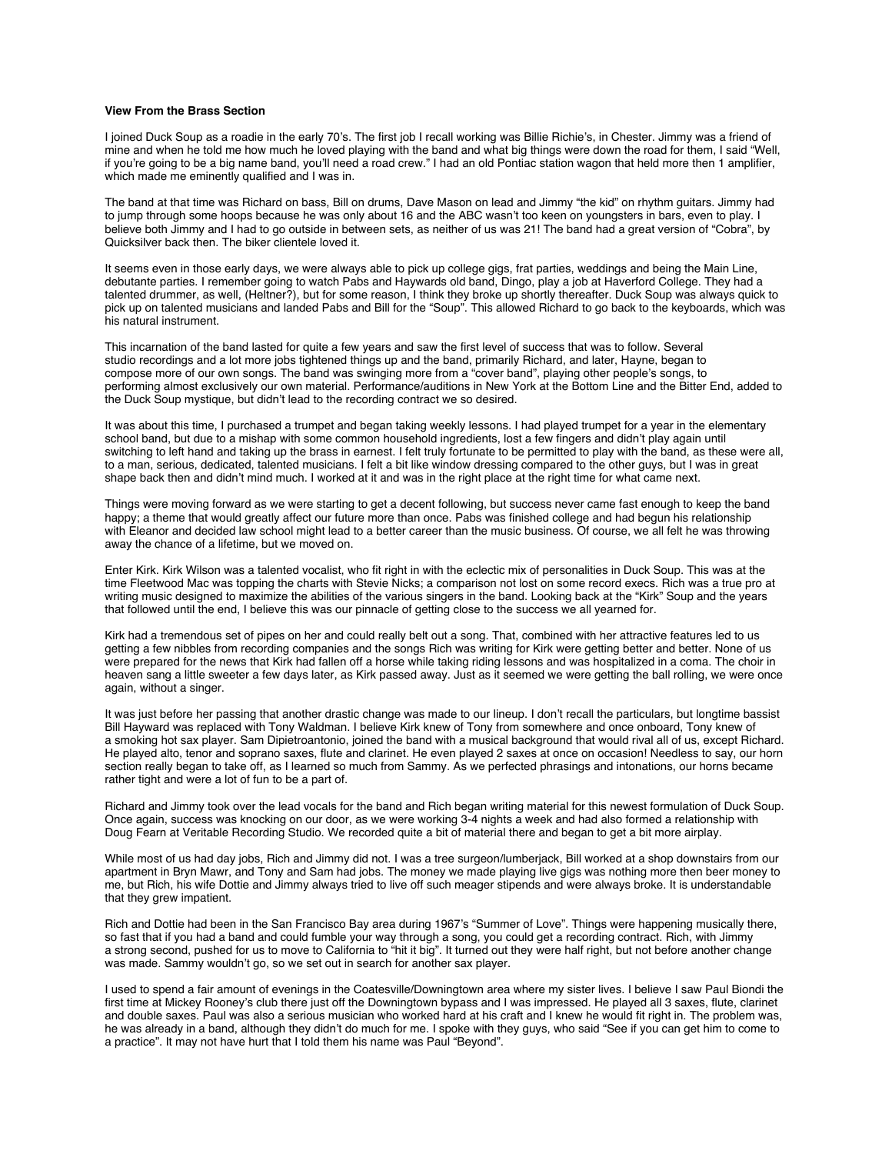## **View From the Brass Section**

I joined Duck Soup as a roadie in the early 70's. The first job I recall working was Billie Richie's, in Chester. Jimmy was a friend of mine and when he told me how much he loved playing with the band and what big things were down the road for them, I said "Well, if you're going to be a big name band, you'll need a road crew." I had an old Pontiac station wagon that held more then 1 amplifier, which made me eminently qualified and I was in.

The band at that time was Richard on bass, Bill on drums, Dave Mason on lead and Jimmy "the kid" on rhythm guitars. Jimmy had to jump through some hoops because he was only about 16 and the ABC wasn't too keen on youngsters in bars, even to play. I believe both Jimmy and I had to go outside in between sets, as neither of us was 21! The band had a great version of "Cobra", by Quicksilver back then. The biker clientele loved it.

It seems even in those early days, we were always able to pick up college gigs, frat parties, weddings and being the Main Line, debutante parties. I remember going to watch Pabs and Haywards old band, Dingo, play a job at Haverford College. They had a talented drummer, as well, (Heltner?), but for some reason, I think they broke up shortly thereafter. Duck Soup was always quick to pick up on talented musicians and landed Pabs and Bill for the "Soup". This allowed Richard to go back to the keyboards, which was his natural instrument.

This incarnation of the band lasted for quite a few years and saw the first level of success that was to follow. Several studio recordings and a lot more jobs tightened things up and the band, primarily Richard, and later, Hayne, began to compose more of our own songs. The band was swinging more from a "cover band", playing other people's songs, to performing almost exclusively our own material. Performance/auditions in New York at the Bottom Line and the Bitter End, added to the Duck Soup mystique, but didn't lead to the recording contract we so desired.

It was about this time, I purchased a trumpet and began taking weekly lessons. I had played trumpet for a year in the elementary school band, but due to a mishap with some common household ingredients, lost a few fingers and didn't play again until switching to left hand and taking up the brass in earnest. I felt truly fortunate to be permitted to play with the band, as these were all, to a man, serious, dedicated, talented musicians. I felt a bit like window dressing compared to the other guys, but I was in great shape back then and didn't mind much. I worked at it and was in the right place at the right time for what came next.

Things were moving forward as we were starting to get a decent following, but success never came fast enough to keep the band happy; a theme that would greatly affect our future more than once. Pabs was finished college and had begun his relationship with Eleanor and decided law school might lead to a better career than the music business. Of course, we all felt he was throwing away the chance of a lifetime, but we moved on.

Enter Kirk. Kirk Wilson was a talented vocalist, who fit right in with the eclectic mix of personalities in Duck Soup. This was at the time Fleetwood Mac was topping the charts with Stevie Nicks; a comparison not lost on some record execs. Rich was a true pro at writing music designed to maximize the abilities of the various singers in the band. Looking back at the "Kirk" Soup and the years that followed until the end, I believe this was our pinnacle of getting close to the success we all yearned for.

Kirk had a tremendous set of pipes on her and could really belt out a song. That, combined with her attractive features led to us getting a few nibbles from recording companies and the songs Rich was writing for Kirk were getting better and better. None of us were prepared for the news that Kirk had fallen off a horse while taking riding lessons and was hospitalized in a coma. The choir in heaven sang a little sweeter a few days later, as Kirk passed away. Just as it seemed we were getting the ball rolling, we were once again, without a singer.

It was just before her passing that another drastic change was made to our lineup. I don't recall the particulars, but longtime bassist Bill Hayward was replaced with Tony Waldman. I believe Kirk knew of Tony from somewhere and once onboard, Tony knew of a smoking hot sax player. Sam Dipietroantonio, joined the band with a musical background that would rival all of us, except Richard. He played alto, tenor and soprano saxes, flute and clarinet. He even played 2 saxes at once on occasion! Needless to say, our horn section really began to take off, as I learned so much from Sammy. As we perfected phrasings and intonations, our horns became rather tight and were a lot of fun to be a part of.

Richard and Jimmy took over the lead vocals for the band and Rich began writing material for this newest formulation of Duck Soup. Once again, success was knocking on our door, as we were working 3-4 nights a week and had also formed a relationship with Doug Fearn at Veritable Recording Studio. We recorded quite a bit of material there and began to get a bit more airplay.

While most of us had day jobs, Rich and Jimmy did not. I was a tree surgeon/lumberjack, Bill worked at a shop downstairs from our apartment in Bryn Mawr, and Tony and Sam had jobs. The money we made playing live gigs was nothing more then beer money to me, but Rich, his wife Dottie and Jimmy always tried to live off such meager stipends and were always broke. It is understandable that they grew impatient.

Rich and Dottie had been in the San Francisco Bay area during 1967's "Summer of Love". Things were happening musically there, so fast that if you had a band and could fumble your way through a song, you could get a recording contract. Rich, with Jimmy a strong second, pushed for us to move to California to "hit it big". It turned out they were half right, but not before another change was made. Sammy wouldn't go, so we set out in search for another sax player.

I used to spend a fair amount of evenings in the Coatesville/Downingtown area where my sister lives. I believe I saw Paul Biondi the first time at Mickey Rooney's club there just off the Downingtown bypass and I was impressed. He played all 3 saxes, flute, clarinet and double saxes. Paul was also a serious musician who worked hard at his craft and I knew he would fit right in. The problem was, he was already in a band, although they didn't do much for me. I spoke with they guys, who said "See if you can get him to come to a practice". It may not have hurt that I told them his name was Paul "Beyond".